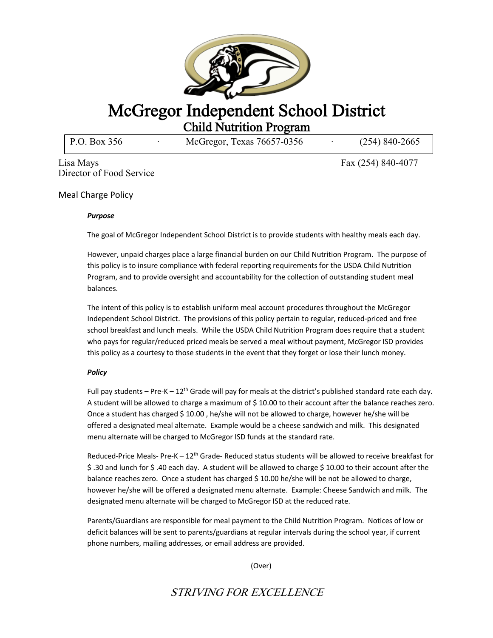

## McGregor Independent School District<br>Child Nutrition Program<br>P.O. Box 356 McGregor, Texas 76657-0356 (254) 840-2665

P.O. Box 356 ∂ McGregor, Texas 76657-0356

Lisa Mays Fax (254) 840-4077 Director of Food Service

Meal Charge Policy

## *Purpose*

The goal of McGregor Independent School District is to provide students with healthy meals each day.

However, unpaid charges place a large financial burden on our Child Nutrition Program. The purpose of this policy is to insure compliance with federal reporting requirements for the USDA Child Nutrition Program, and to provide oversight and accountability for the collection of outstanding student meal balances.

The intent of this policy is to establish uniform meal account procedures throughout the McGregor Independent School District. The provisions of this policy pertain to regular, reduced-priced and free school breakfast and lunch meals. While the USDA Child Nutrition Program does require that a student who pays for regular/reduced priced meals be served a meal without payment, McGregor ISD provides this policy as a courtesy to those students in the event that they forget or lose their lunch money.

## *Policy*

Full pay students – Pre-K –  $12<sup>th</sup>$  Grade will pay for meals at the district's published standard rate each day. A student will be allowed to charge a maximum of \$10.00 to their account after the balance reaches zero. Once a student has charged \$ 10.00 , he/she will not be allowed to charge, however he/she will be offered a designated meal alternate. Example would be a cheese sandwich and milk. This designated menu alternate will be charged to McGregor ISD funds at the standard rate.

Reduced-Price Meals-Pre-K –  $12<sup>th</sup>$  Grade-Reduced status students will be allowed to receive breakfast for \$ .30 and lunch for \$ .40 each day. A student will be allowed to charge \$ 10.00 to their account after the balance reaches zero. Once a student has charged \$ 10.00 he/she will be not be allowed to charge, however he/she will be offered a designated menu alternate. Example: Cheese Sandwich and milk. The designated menu alternate will be charged to McGregor ISD at the reduced rate.

Parents/Guardians are responsible for meal payment to the Child Nutrition Program. Notices of low or deficit balances will be sent to parents/guardians at regular intervals during the school year, if current phone numbers, mailing addresses, or email address are provided.

(Over)

STRIVING FOR EXCELLENCE